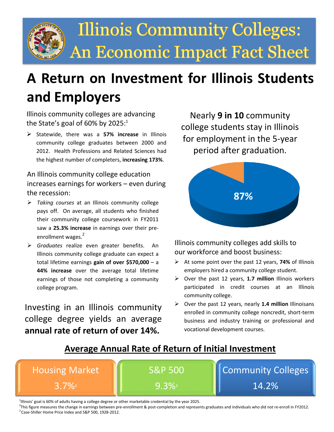

# **A Return on Investment for Illinois Students and Employers**

Illinois community colleges are advancing the State's goal of 60% by 2025: $^1$ 

 Statewide, there was a **57% increase** in Illinois community college graduates between 2000 and 2012. Health Professions and Related Sciences had the highest number of completers, **increasing 173%**.

### An Illinois community college education increases earnings for workers – even during the recession:

- *Taking courses* at an Illinois community college pays off. On average, all students who finished their community college coursework in FY2011 saw a **25.3% increase** in earnings over their preenrollment wages.<sup>2</sup>
- *Graduates* realize even greater benefits. An Illinois community college graduate can expect a total lifetime earnings **gain of over \$570,000** – a **44% increase** over the average total lifetime earnings of those not completing a community college program.

Investing in an Illinois community college degree yields an average **annual rate of return of over 14%.**

Nearly **9 in 10** community college students stay in Illinois for employment in the 5-year period after graduation.



Illinois community colleges add skills to our workforce and boost business:

- At some point over the past 12 years, 74% of Illinois employers hired a community college student.
- Over the past 12 years, **1.7 million** Illinois workers participated in credit courses at an Illinois community college.
- Over the past 12 years, nearly **1.4 million** Illinoisans enrolled in community college noncredit, short-term business and industry training or professional and vocational development courses.

### **Average Annual Rate of Return of Initial Investment**



<sup>1</sup>lllinois' goal is 60% of adults having a college degree or other marketable credential by the year 2025.

<sup>2</sup> This figure measures the change in earnings between pre-enrollment & post-completion and represents graduates and individuals who did not re-enroll in FY2012. <sup>3</sup> Case-Shiller Home Price Index and S&P 500, 1928-2012.